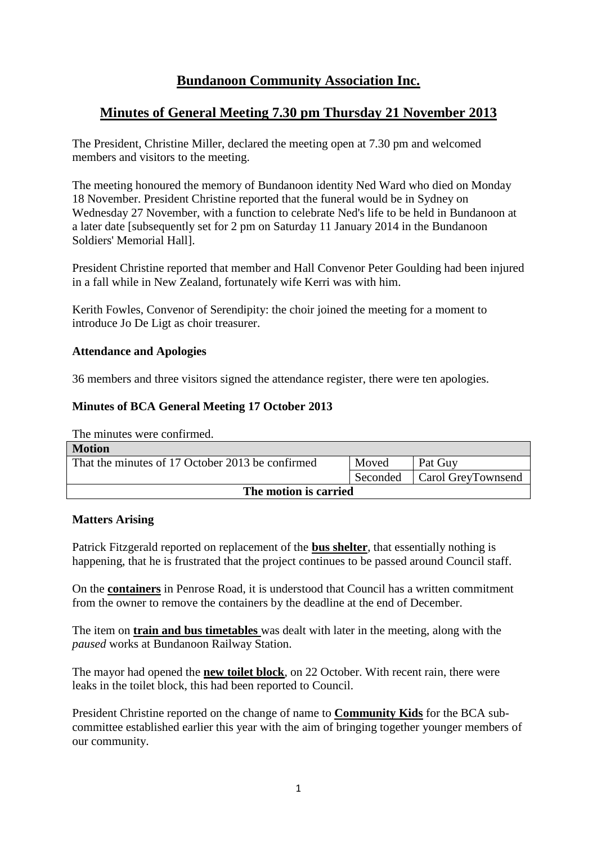# **Bundanoon Community Association Inc.**

# **Minutes of General Meeting 7.30 pm Thursday 21 November 2013**

The President, Christine Miller, declared the meeting open at 7.30 pm and welcomed members and visitors to the meeting.

The meeting honoured the memory of Bundanoon identity Ned Ward who died on Monday 18 November. President Christine reported that the funeral would be in Sydney on Wednesday 27 November, with a function to celebrate Ned's life to be held in Bundanoon at a later date [subsequently set for 2 pm on Saturday 11 January 2014 in the Bundanoon Soldiers' Memorial Hall].

President Christine reported that member and Hall Convenor Peter Goulding had been injured in a fall while in New Zealand, fortunately wife Kerri was with him.

Kerith Fowles, Convenor of Serendipity: the choir joined the meeting for a moment to introduce Jo De Ligt as choir treasurer.

## **Attendance and Apologies**

36 members and three visitors signed the attendance register, there were ten apologies.

## **Minutes of BCA General Meeting 17 October 2013**

The minutes were confirmed.

| <b>Motion</b>                                    |          |                    |  |
|--------------------------------------------------|----------|--------------------|--|
| That the minutes of 17 October 2013 be confirmed | Moved    | Pat Guy            |  |
|                                                  | Seconded | Carol GreyTownsend |  |
| The motion is carried                            |          |                    |  |

#### **Matters Arising**

Patrick Fitzgerald reported on replacement of the **bus shelter**, that essentially nothing is happening, that he is frustrated that the project continues to be passed around Council staff.

On the **containers** in Penrose Road, it is understood that Council has a written commitment from the owner to remove the containers by the deadline at the end of December.

The item on **train and bus timetables** was dealt with later in the meeting, along with the *paused* works at Bundanoon Railway Station.

The mayor had opened the **new toilet block**, on 22 October. With recent rain, there were leaks in the toilet block, this had been reported to Council.

President Christine reported on the change of name to **Community Kids** for the BCA subcommittee established earlier this year with the aim of bringing together younger members of our community.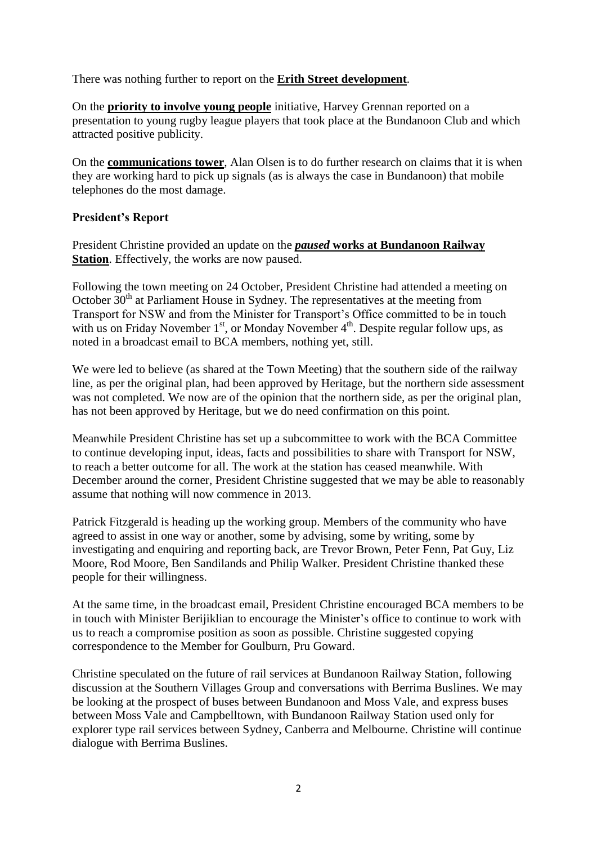There was nothing further to report on the **Erith Street development**.

On the **priority to involve young people** initiative, Harvey Grennan reported on a presentation to young rugby league players that took place at the Bundanoon Club and which attracted positive publicity.

On the **communications tower**, Alan Olsen is to do further research on claims that it is when they are working hard to pick up signals (as is always the case in Bundanoon) that mobile telephones do the most damage.

## **President's Report**

President Christine provided an update on the *paused* **works at Bundanoon Railway Station**. Effectively, the works are now paused.

Following the town meeting on 24 October, President Christine had attended a meeting on October  $30<sup>th</sup>$  at Parliament House in Sydney. The representatives at the meeting from Transport for NSW and from the Minister for Transport's Office committed to be in touch with us on Friday November  $1<sup>st</sup>$ , or Monday November  $4<sup>th</sup>$ . Despite regular follow ups, as noted in a broadcast email to BCA members, nothing yet, still.

We were led to believe (as shared at the Town Meeting) that the southern side of the railway line, as per the original plan, had been approved by Heritage, but the northern side assessment was not completed. We now are of the opinion that the northern side, as per the original plan, has not been approved by Heritage, but we do need confirmation on this point.

Meanwhile President Christine has set up a subcommittee to work with the BCA Committee to continue developing input, ideas, facts and possibilities to share with Transport for NSW, to reach a better outcome for all. The work at the station has ceased meanwhile. With December around the corner, President Christine suggested that we may be able to reasonably assume that nothing will now commence in 2013.

Patrick Fitzgerald is heading up the working group. Members of the community who have agreed to assist in one way or another, some by advising, some by writing, some by investigating and enquiring and reporting back, are Trevor Brown, Peter Fenn, Pat Guy, Liz Moore, Rod Moore, Ben Sandilands and Philip Walker. President Christine thanked these people for their willingness.

At the same time, in the broadcast email, President Christine encouraged BCA members to be in touch with Minister Berijiklian to encourage the Minister's office to continue to work with us to reach a compromise position as soon as possible. Christine suggested copying correspondence to the Member for Goulburn, Pru Goward.

Christine speculated on the future of rail services at Bundanoon Railway Station, following discussion at the Southern Villages Group and conversations with Berrima Buslines. We may be looking at the prospect of buses between Bundanoon and Moss Vale, and express buses between Moss Vale and Campbelltown, with Bundanoon Railway Station used only for explorer type rail services between Sydney, Canberra and Melbourne. Christine will continue dialogue with Berrima Buslines.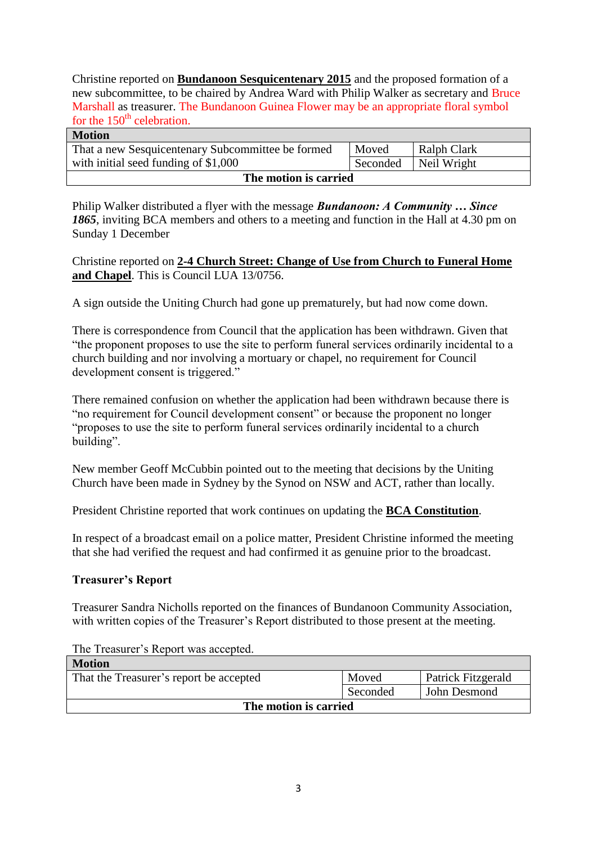Christine reported on **Bundanoon Sesquicentenary 2015** and the proposed formation of a new subcommittee, to be chaired by Andrea Ward with Philip Walker as secretary and Bruce Marshall as treasurer. The Bundanoon Guinea Flower may be an appropriate floral symbol for the  $150<sup>th</sup>$  celebration.

| <b>Motion</b>                                     |          |             |  |
|---------------------------------------------------|----------|-------------|--|
| That a new Sesquicentenary Subcommittee be formed | Moved    | Ralph Clark |  |
| with initial seed funding of \$1,000              | Seconded | Neil Wright |  |
| The motion is carried                             |          |             |  |

Philip Walker distributed a flyer with the message *Bundanoon: A Community … Since 1865*, inviting BCA members and others to a meeting and function in the Hall at 4.30 pm on Sunday 1 December

Christine reported on **2-4 Church Street: Change of Use from Church to Funeral Home and Chapel**. This is Council LUA 13/0756.

A sign outside the Uniting Church had gone up prematurely, but had now come down.

There is correspondence from Council that the application has been withdrawn. Given that "the proponent proposes to use the site to perform funeral services ordinarily incidental to a church building and nor involving a mortuary or chapel, no requirement for Council development consent is triggered."

There remained confusion on whether the application had been withdrawn because there is "no requirement for Council development consent" or because the proponent no longer "proposes to use the site to perform funeral services ordinarily incidental to a church building".

New member Geoff McCubbin pointed out to the meeting that decisions by the Uniting Church have been made in Sydney by the Synod on NSW and ACT, rather than locally.

President Christine reported that work continues on updating the **BCA Constitution**.

In respect of a broadcast email on a police matter, President Christine informed the meeting that she had verified the request and had confirmed it as genuine prior to the broadcast.

## **Treasurer's Report**

Treasurer Sandra Nicholls reported on the finances of Bundanoon Community Association, with written copies of the Treasurer's Report distributed to those present at the meeting.

| <b>Motion</b>                           |          |                           |
|-----------------------------------------|----------|---------------------------|
| That the Treasurer's report be accepted | Moved    | <b>Patrick Fitzgerald</b> |
|                                         | Seconded | John Desmond              |
| The motion is carried                   |          |                           |

The Treasurer's Report was accepted.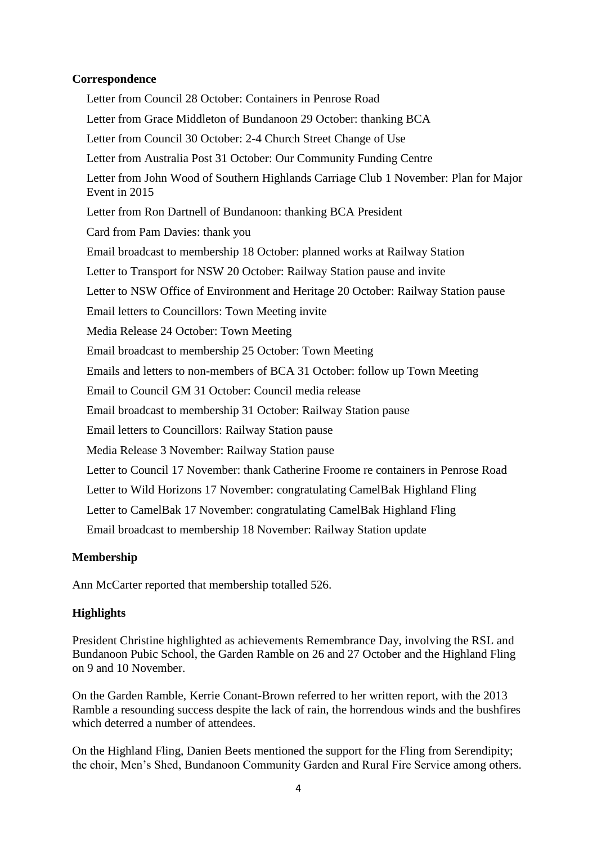## **Correspondence**

Letter from Council 28 October: Containers in Penrose Road Letter from Grace Middleton of Bundanoon 29 October: thanking BCA Letter from Council 30 October: 2-4 Church Street Change of Use Letter from Australia Post 31 October: Our Community Funding Centre Letter from John Wood of Southern Highlands Carriage Club 1 November: Plan for Major Event in 2015 Letter from Ron Dartnell of Bundanoon: thanking BCA President Card from Pam Davies: thank you Email broadcast to membership 18 October: planned works at Railway Station Letter to Transport for NSW 20 October: Railway Station pause and invite Letter to NSW Office of Environment and Heritage 20 October: Railway Station pause Email letters to Councillors: Town Meeting invite Media Release 24 October: Town Meeting Email broadcast to membership 25 October: Town Meeting Emails and letters to non-members of BCA 31 October: follow up Town Meeting Email to Council GM 31 October: Council media release Email broadcast to membership 31 October: Railway Station pause Email letters to Councillors: Railway Station pause Media Release 3 November: Railway Station pause Letter to Council 17 November: thank Catherine Froome re containers in Penrose Road Letter to Wild Horizons 17 November: congratulating CamelBak Highland Fling Letter to CamelBak 17 November: congratulating CamelBak Highland Fling Email broadcast to membership 18 November: Railway Station update

## **Membership**

Ann McCarter reported that membership totalled 526.

## **Highlights**

President Christine highlighted as achievements Remembrance Day, involving the RSL and Bundanoon Pubic School, the Garden Ramble on 26 and 27 October and the Highland Fling on 9 and 10 November.

On the Garden Ramble, Kerrie Conant-Brown referred to her written report, with the 2013 Ramble a resounding success despite the lack of rain, the horrendous winds and the bushfires which deterred a number of attendees.

On the Highland Fling, Danien Beets mentioned the support for the Fling from Serendipity; the choir, Men's Shed, Bundanoon Community Garden and Rural Fire Service among others.